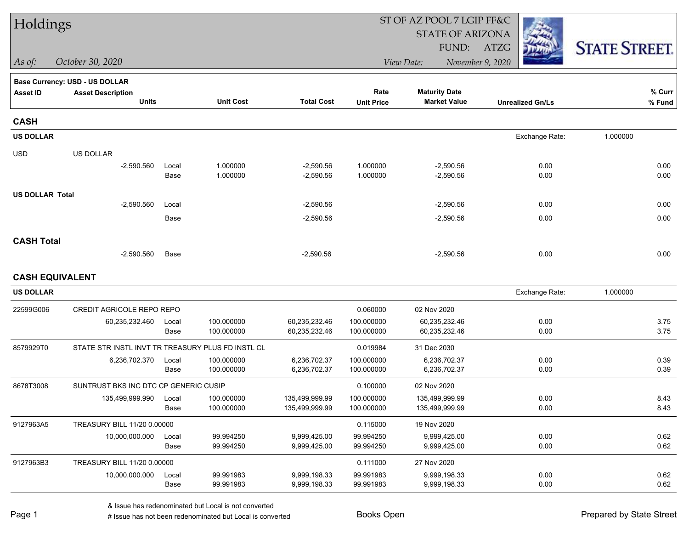| Holdings               |                                                   |               |                          |                                  |                          | ST OF AZ POOL 7 LGIP FF&C                   |                         |                      |  |
|------------------------|---------------------------------------------------|---------------|--------------------------|----------------------------------|--------------------------|---------------------------------------------|-------------------------|----------------------|--|
|                        |                                                   |               |                          |                                  |                          | <b>STATE OF ARIZONA</b>                     |                         |                      |  |
|                        |                                                   |               |                          |                                  |                          | FUND:                                       | ATZG                    | <b>STATE STREET.</b> |  |
| As of:                 | October 30, 2020                                  |               |                          |                                  |                          | View Date:                                  | November 9, 2020        |                      |  |
|                        | Base Currency: USD - US DOLLAR                    |               |                          |                                  |                          |                                             |                         |                      |  |
| <b>Asset ID</b>        | <b>Asset Description</b><br><b>Units</b>          |               | <b>Unit Cost</b>         | <b>Total Cost</b>                | Rate                     | <b>Maturity Date</b><br><b>Market Value</b> |                         | % Curr               |  |
|                        |                                                   |               |                          |                                  | <b>Unit Price</b>        |                                             | <b>Unrealized Gn/Ls</b> | % Fund               |  |
| <b>CASH</b>            |                                                   |               |                          |                                  |                          |                                             |                         |                      |  |
| <b>US DOLLAR</b>       |                                                   |               |                          |                                  |                          |                                             | Exchange Rate:          | 1.000000             |  |
| <b>USD</b>             | US DOLLAR                                         |               |                          |                                  |                          |                                             |                         |                      |  |
|                        | $-2,590.560$                                      | Local         | 1.000000                 | $-2,590.56$                      | 1.000000                 | $-2,590.56$                                 | 0.00                    | 0.00                 |  |
|                        |                                                   | Base          | 1.000000                 | $-2,590.56$                      | 1.000000                 | $-2,590.56$                                 | 0.00                    | 0.00                 |  |
| <b>US DOLLAR Total</b> |                                                   |               |                          |                                  |                          |                                             |                         |                      |  |
|                        | $-2,590.560$                                      | Local         |                          | $-2,590.56$                      |                          | $-2,590.56$                                 | 0.00                    | 0.00                 |  |
|                        |                                                   | Base          |                          | $-2,590.56$                      |                          | $-2,590.56$                                 | 0.00                    | 0.00                 |  |
| <b>CASH Total</b>      |                                                   |               |                          |                                  |                          |                                             |                         |                      |  |
|                        | $-2,590.560$                                      | Base          |                          | $-2,590.56$                      |                          | $-2,590.56$                                 | 0.00                    | 0.00                 |  |
| <b>CASH EQUIVALENT</b> |                                                   |               |                          |                                  |                          |                                             |                         |                      |  |
| <b>US DOLLAR</b>       |                                                   |               |                          |                                  |                          |                                             | Exchange Rate:          | 1.000000             |  |
| 22599G006              | CREDIT AGRICOLE REPO REPO                         |               |                          |                                  | 0.060000                 | 02 Nov 2020                                 |                         |                      |  |
|                        | 60,235,232.460                                    | Local         | 100.000000               | 60,235,232.46                    | 100.000000               | 60,235,232.46                               | 0.00                    | 3.75                 |  |
|                        |                                                   | Base          | 100.000000               | 60,235,232.46                    | 100.000000               | 60,235,232.46                               | 0.00                    | 3.75                 |  |
| 8579929T0              | STATE STR INSTL INVT TR TREASURY PLUS FD INSTL CL |               |                          |                                  | 0.019984                 | 31 Dec 2030                                 |                         |                      |  |
|                        | 6,236,702.370                                     | Local         | 100.000000               | 6,236,702.37                     | 100.000000               | 6,236,702.37                                | 0.00                    | 0.39                 |  |
|                        |                                                   | Base          | 100.000000               | 6,236,702.37                     | 100.000000               | 6,236,702.37                                | 0.00                    | 0.39                 |  |
| 8678T3008              | SUNTRUST BKS INC DTC CP GENERIC CUSIP             |               |                          |                                  | 0.100000                 | 02 Nov 2020                                 |                         |                      |  |
|                        | 135,499,999.990                                   | Local<br>Base | 100.000000<br>100.000000 | 135.499.999.99<br>135,499,999.99 | 100.000000<br>100.000000 | 135,499,999.99<br>135,499,999.99            | 0.00<br>0.00            | 8.43<br>8.43         |  |
|                        |                                                   |               |                          |                                  |                          |                                             |                         |                      |  |
| 9127963A5              | TREASURY BILL 11/20 0.00000                       |               |                          |                                  | 0.115000                 | 19 Nov 2020                                 |                         |                      |  |
|                        | 10,000,000.000                                    | Local<br>Base | 99.994250<br>99.994250   | 9,999,425.00<br>9,999,425.00     | 99.994250<br>99.994250   | 9,999,425.00<br>9,999,425.00                | 0.00<br>0.00            | 0.62<br>0.62         |  |
| 9127963B3              | TREASURY BILL 11/20 0.00000                       |               |                          |                                  | 0.111000                 | 27 Nov 2020                                 |                         |                      |  |
|                        | 10,000,000.000                                    | Local         | 99.991983                | 9,999,198.33                     | 99.991983                | 9,999,198.33                                | 0.00                    | 0.62                 |  |
|                        |                                                   | Base          | 99.991983                | 9,999,198.33                     | 99.991983                | 9,999,198.33                                | 0.00                    | 0.62                 |  |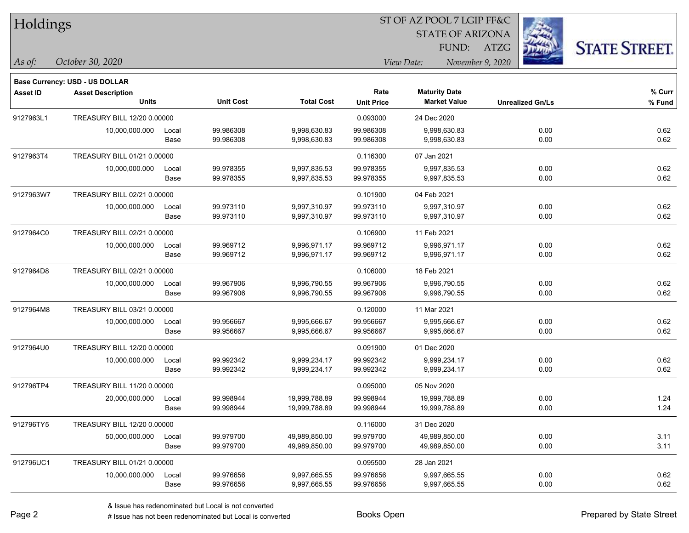| Holdings        |                                          |               |                        |                                |                           | ST OF AZ POOL 7 LGIP FF&C<br><b>STATE OF ARIZONA</b><br>FUND: | ATZG                    | <b>STATE STREET.</b> |
|-----------------|------------------------------------------|---------------|------------------------|--------------------------------|---------------------------|---------------------------------------------------------------|-------------------------|----------------------|
| $\vert$ As of:  | October 30, 2020                         |               |                        |                                |                           | View Date:<br>November 9, 2020                                |                         |                      |
|                 | <b>Base Currency: USD - US DOLLAR</b>    |               |                        |                                |                           |                                                               |                         |                      |
| <b>Asset ID</b> | <b>Asset Description</b><br><b>Units</b> |               | <b>Unit Cost</b>       | <b>Total Cost</b>              | Rate<br><b>Unit Price</b> | <b>Maturity Date</b><br><b>Market Value</b>                   | <b>Unrealized Gn/Ls</b> | % Curr<br>% Fund     |
| 9127963L1       | TREASURY BILL 12/20 0.00000              |               |                        |                                | 0.093000                  | 24 Dec 2020                                                   |                         |                      |
|                 | 10,000,000.000                           | Local<br>Base | 99.986308<br>99.986308 | 9,998,630.83<br>9,998,630.83   | 99.986308<br>99.986308    | 9,998,630.83<br>9,998,630.83                                  | 0.00<br>0.00            | 0.62<br>0.62         |
| 9127963T4       | TREASURY BILL 01/21 0.00000              |               |                        |                                | 0.116300                  | 07 Jan 2021                                                   |                         |                      |
|                 | 10,000,000.000                           | Local<br>Base | 99.978355<br>99.978355 | 9,997,835.53<br>9,997,835.53   | 99.978355<br>99.978355    | 9,997,835.53<br>9,997,835.53                                  | 0.00<br>0.00            | 0.62<br>0.62         |
| 9127963W7       | TREASURY BILL 02/21 0.00000              |               |                        |                                | 0.101900                  | 04 Feb 2021                                                   |                         |                      |
|                 | 10,000,000.000                           | Local<br>Base | 99.973110<br>99.973110 | 9,997,310.97<br>9,997,310.97   | 99.973110<br>99.973110    | 9,997,310.97<br>9,997,310.97                                  | 0.00<br>0.00            | 0.62<br>0.62         |
| 9127964C0       | TREASURY BILL 02/21 0.00000              |               |                        |                                | 0.106900                  | 11 Feb 2021                                                   |                         |                      |
|                 | 10,000,000.000                           | Local<br>Base | 99.969712<br>99.969712 | 9,996,971.17<br>9,996,971.17   | 99.969712<br>99.969712    | 9,996,971.17<br>9,996,971.17                                  | 0.00<br>0.00            | 0.62<br>0.62         |
| 9127964D8       | TREASURY BILL 02/21 0.00000              |               |                        |                                | 0.106000                  | 18 Feb 2021                                                   |                         |                      |
|                 | 10,000,000.000                           | Local<br>Base | 99.967906<br>99.967906 | 9,996,790.55<br>9,996,790.55   | 99.967906<br>99.967906    | 9,996,790.55<br>9,996,790.55                                  | 0.00<br>0.00            | 0.62<br>0.62         |
| 9127964M8       | TREASURY BILL 03/21 0.00000              |               |                        |                                | 0.120000                  | 11 Mar 2021                                                   |                         |                      |
|                 | 10,000,000.000                           | Local<br>Base | 99.956667<br>99.956667 | 9,995,666.67<br>9,995,666.67   | 99.956667<br>99.956667    | 9,995,666.67<br>9,995,666.67                                  | 0.00<br>0.00            | 0.62<br>0.62         |
| 9127964U0       | TREASURY BILL 12/20 0.00000              |               |                        |                                | 0.091900                  | 01 Dec 2020                                                   |                         |                      |
|                 | 10,000,000.000                           | Local<br>Base | 99.992342<br>99.992342 | 9,999,234.17<br>9,999,234.17   | 99.992342<br>99.992342    | 9,999,234.17<br>9,999,234.17                                  | 0.00<br>0.00            | 0.62<br>0.62         |
| 912796TP4       | TREASURY BILL 11/20 0.00000              |               |                        |                                | 0.095000                  | 05 Nov 2020                                                   |                         |                      |
|                 | 20,000,000.000                           | Local<br>Base | 99.998944<br>99.998944 | 19,999,788.89<br>19,999,788.89 | 99.998944<br>99.998944    | 19,999,788.89<br>19,999,788.89                                | 0.00<br>0.00            | 1.24<br>1.24         |
| 912796TY5       | TREASURY BILL 12/20 0.00000              |               |                        |                                | 0.116000                  | 31 Dec 2020                                                   |                         |                      |
|                 | 50,000,000.000                           | Local<br>Base | 99.979700<br>99.979700 | 49,989,850.00<br>49,989,850.00 | 99.979700<br>99.979700    | 49,989,850.00<br>49,989,850.00                                | 0.00<br>0.00            | 3.11<br>3.11         |
| 912796UC1       | TREASURY BILL 01/21 0.00000              |               |                        |                                | 0.095500                  | 28 Jan 2021                                                   |                         |                      |
|                 | 10,000,000.000                           | Local<br>Base | 99.976656<br>99.976656 | 9,997,665.55<br>9,997,665.55   | 99.976656<br>99.976656    | 9,997,665.55<br>9,997,665.55                                  | 0.00<br>0.00            | 0.62<br>0.62         |

ST OF AZ POOL 7 LGIP FF&C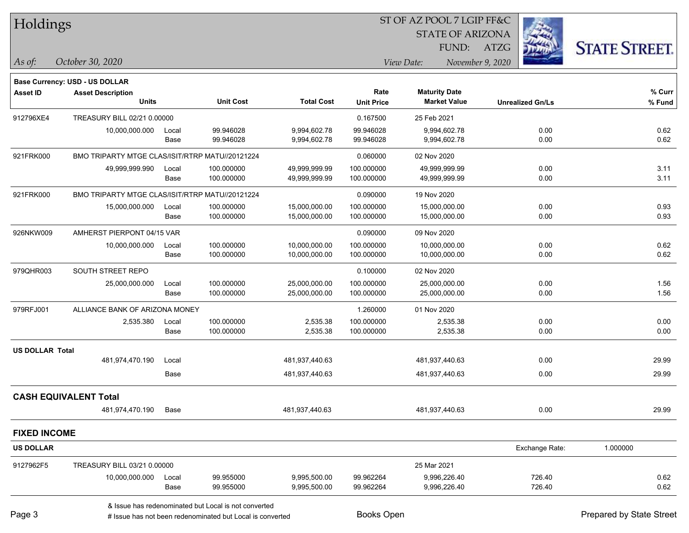| Holdings               |                                                 |               |                                                           |                              |                        | ST OF AZ POOL 7 LGIP FF&C      |                         |                          |  |
|------------------------|-------------------------------------------------|---------------|-----------------------------------------------------------|------------------------------|------------------------|--------------------------------|-------------------------|--------------------------|--|
|                        |                                                 |               |                                                           |                              |                        | <b>STATE OF ARIZONA</b>        |                         |                          |  |
|                        |                                                 |               |                                                           |                              |                        | FUND:                          | <b>ATZG</b>             | <b>STATE STREET.</b>     |  |
| As of:                 | October 30, 2020                                |               |                                                           |                              |                        | November 9, 2020<br>View Date: |                         |                          |  |
|                        | Base Currency: USD - US DOLLAR                  |               |                                                           |                              |                        |                                |                         |                          |  |
| <b>Asset ID</b>        | <b>Asset Description</b>                        |               |                                                           |                              | Rate                   | <b>Maturity Date</b>           |                         | % Curr                   |  |
|                        | <b>Units</b>                                    |               | <b>Unit Cost</b>                                          | <b>Total Cost</b>            | <b>Unit Price</b>      | <b>Market Value</b>            | <b>Unrealized Gn/Ls</b> | % Fund                   |  |
| 912796XE4              | TREASURY BILL 02/21 0.00000                     |               |                                                           |                              | 0.167500               | 25 Feb 2021                    |                         |                          |  |
|                        | 10,000,000.000                                  | Local<br>Base | 99.946028<br>99.946028                                    | 9,994,602.78<br>9,994,602.78 | 99.946028<br>99.946028 | 9,994,602.78<br>9,994,602.78   | 0.00<br>0.00            | 0.62<br>0.62             |  |
| 921FRK000              | BMO TRIPARTY MTGE CLAS/ISIT/RTRP MATU//20121224 |               |                                                           |                              | 0.060000               | 02 Nov 2020                    |                         |                          |  |
|                        | 49,999,999.990                                  | Local         | 100.000000                                                | 49,999,999.99                | 100.000000             | 49,999,999.99                  | 0.00                    | 3.11                     |  |
|                        |                                                 | Base          | 100.000000                                                | 49,999,999.99                | 100.000000             | 49,999,999.99                  | 0.00                    | 3.11                     |  |
| 921FRK000              | BMO TRIPARTY MTGE CLAS/ISIT/RTRP MATU//20121224 |               |                                                           |                              | 0.090000               | 19 Nov 2020                    |                         |                          |  |
|                        | 15,000,000.000                                  | Local         | 100.000000                                                | 15,000,000.00                | 100.000000             | 15,000,000.00                  | 0.00                    | 0.93                     |  |
|                        |                                                 | Base          | 100.000000                                                | 15,000,000.00                | 100.000000             | 15,000,000.00                  | 0.00                    | 0.93                     |  |
| 926NKW009              | AMHERST PIERPONT 04/15 VAR                      |               |                                                           |                              | 0.090000               | 09 Nov 2020                    |                         |                          |  |
|                        | 10,000,000.000                                  | Local         | 100.000000                                                | 10,000,000.00                | 100.000000             | 10,000,000.00                  | 0.00                    | 0.62                     |  |
|                        |                                                 | Base          | 100.000000                                                | 10,000,000.00                | 100.000000             | 10,000,000.00                  | 0.00                    | 0.62                     |  |
| 979QHR003              | SOUTH STREET REPO                               |               |                                                           |                              | 0.100000               | 02 Nov 2020                    |                         |                          |  |
|                        | 25,000,000.000                                  | Local         | 100.000000                                                | 25,000,000.00                | 100.000000             | 25,000,000.00                  | 0.00                    | 1.56                     |  |
|                        |                                                 | Base          | 100.000000                                                | 25,000,000.00                | 100.000000             | 25,000,000.00                  | 0.00                    | 1.56                     |  |
| 979RFJ001              | ALLIANCE BANK OF ARIZONA MONEY                  |               |                                                           |                              | 1.260000               | 01 Nov 2020                    |                         |                          |  |
|                        | 2,535.380                                       | Local<br>Base | 100.000000<br>100.000000                                  | 2,535.38                     | 100.000000             | 2,535.38                       | 0.00<br>0.00            | 0.00<br>0.00             |  |
|                        |                                                 |               |                                                           | 2,535.38                     | 100.000000             | 2,535.38                       |                         |                          |  |
| <b>US DOLLAR Total</b> | 481,974,470.190                                 | Local         |                                                           | 481,937,440.63               |                        | 481,937,440.63                 | 0.00                    | 29.99                    |  |
|                        |                                                 | Base          |                                                           | 481,937,440.63               |                        | 481,937,440.63                 | 0.00                    | 29.99                    |  |
|                        |                                                 |               |                                                           |                              |                        |                                |                         |                          |  |
|                        | <b>CASH EQUIVALENT Total</b>                    |               |                                                           |                              |                        |                                |                         |                          |  |
|                        | 481,974,470.190                                 | Base          |                                                           | 481,937,440.63               |                        | 481,937,440.63                 | 0.00                    | 29.99                    |  |
| <b>FIXED INCOME</b>    |                                                 |               |                                                           |                              |                        |                                |                         |                          |  |
| <b>US DOLLAR</b>       |                                                 |               |                                                           |                              |                        |                                | Exchange Rate:          | 1.000000                 |  |
| 9127962F5              | TREASURY BILL 03/21 0.00000                     |               |                                                           |                              |                        | 25 Mar 2021                    |                         |                          |  |
|                        | 10,000,000.000                                  | Local         | 99.955000                                                 | 9,995,500.00                 | 99.962264              | 9,996,226.40                   | 726.40                  | 0.62                     |  |
|                        |                                                 | Base          | 99.955000                                                 | 9,995,500.00                 | 99.962264              | 9,996,226.40                   | 726.40                  | 0.62                     |  |
|                        |                                                 |               | & Issue has redenominated but Local is not converted      |                              |                        |                                |                         |                          |  |
| Page 3                 |                                                 |               | # Issue has not been redenominated but Local is converted |                              | <b>Books Open</b>      |                                |                         | Prepared by State Street |  |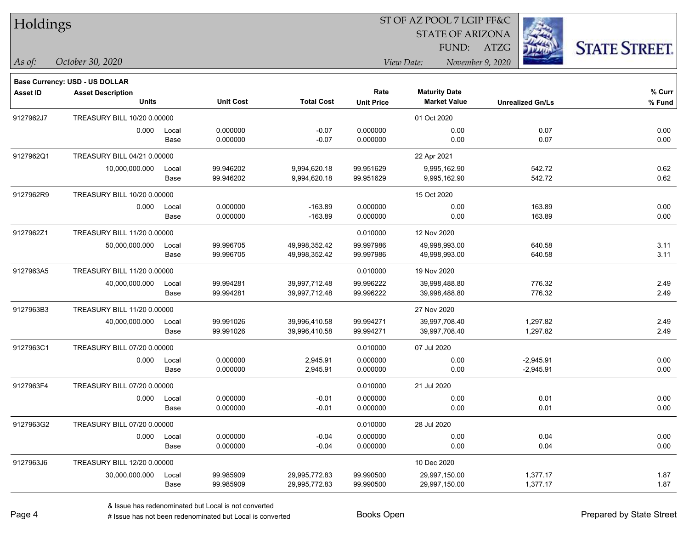| Holdings        |                                       |               |                        | ST OF AZ POOL 7 LGIP FF&C      |                        |                                |                         |                      |  |  |
|-----------------|---------------------------------------|---------------|------------------------|--------------------------------|------------------------|--------------------------------|-------------------------|----------------------|--|--|
|                 |                                       |               |                        |                                |                        | <b>STATE OF ARIZONA</b>        |                         |                      |  |  |
|                 |                                       |               |                        |                                |                        | FUND:                          | <b>ATZG</b>             | <b>STATE STREET.</b> |  |  |
| $\vert$ As of:  | October 30, 2020                      |               |                        |                                |                        | View Date:<br>November 9, 2020 |                         |                      |  |  |
|                 | <b>Base Currency: USD - US DOLLAR</b> |               |                        |                                |                        |                                |                         |                      |  |  |
| <b>Asset ID</b> | <b>Asset Description</b>              |               |                        |                                | Rate                   | <b>Maturity Date</b>           |                         | % Curr               |  |  |
|                 | <b>Units</b>                          |               | <b>Unit Cost</b>       | <b>Total Cost</b>              | <b>Unit Price</b>      | <b>Market Value</b>            | <b>Unrealized Gn/Ls</b> | % Fund               |  |  |
| 9127962J7       | TREASURY BILL 10/20 0.00000           |               |                        |                                |                        | 01 Oct 2020                    |                         |                      |  |  |
|                 | 0.000                                 | Local         | 0.000000               | $-0.07$                        | 0.000000               | 0.00                           | 0.07                    | 0.00                 |  |  |
|                 |                                       | Base          | 0.000000               | $-0.07$                        | 0.000000               | 0.00                           | 0.07                    | 0.00                 |  |  |
| 9127962Q1       | TREASURY BILL 04/21 0.00000           |               |                        |                                |                        | 22 Apr 2021                    |                         |                      |  |  |
|                 | 10,000,000.000                        | Local         | 99.946202              | 9,994,620.18                   | 99.951629              | 9,995,162.90                   | 542.72                  | 0.62                 |  |  |
|                 |                                       | Base          | 99.946202              | 9,994,620.18                   | 99.951629              | 9,995,162.90                   | 542.72                  | 0.62                 |  |  |
| 9127962R9       | TREASURY BILL 10/20 0.00000           |               |                        |                                |                        | 15 Oct 2020                    |                         |                      |  |  |
|                 | 0.000                                 | Local         | 0.000000               | $-163.89$                      | 0.000000               | 0.00                           | 163.89                  | 0.00                 |  |  |
|                 |                                       | Base          | 0.000000               | $-163.89$                      | 0.000000               | 0.00                           | 163.89                  | 0.00                 |  |  |
| 9127962Z1       | TREASURY BILL 11/20 0.00000           |               |                        |                                | 0.010000               | 12 Nov 2020                    |                         |                      |  |  |
|                 | 50,000,000.000                        | Local         | 99.996705              | 49,998,352.42                  | 99.997986              | 49,998,993.00                  | 640.58                  | 3.11                 |  |  |
|                 |                                       | Base          | 99.996705              | 49,998,352.42                  | 99.997986              | 49,998,993.00                  | 640.58                  | 3.11                 |  |  |
| 9127963A5       | TREASURY BILL 11/20 0.00000           |               |                        |                                | 0.010000               | 19 Nov 2020                    |                         |                      |  |  |
|                 | 40,000,000.000                        | Local         | 99.994281              | 39,997,712.48                  | 99.996222              | 39,998,488.80                  | 776.32                  | 2.49                 |  |  |
|                 |                                       | Base          | 99.994281              | 39,997,712.48                  | 99.996222              | 39,998,488.80                  | 776.32                  | 2.49                 |  |  |
| 9127963B3       | TREASURY BILL 11/20 0.00000           |               |                        |                                |                        | 27 Nov 2020                    |                         |                      |  |  |
|                 | 40,000,000.000                        | Local         | 99.991026              | 39,996,410.58                  | 99.994271              | 39,997,708.40                  | 1,297.82                | 2.49                 |  |  |
|                 |                                       | Base          | 99.991026              | 39,996,410.58                  | 99.994271              | 39,997,708.40                  | 1,297.82                | 2.49                 |  |  |
| 9127963C1       | TREASURY BILL 07/20 0.00000           |               |                        |                                | 0.010000               | 07 Jul 2020                    |                         |                      |  |  |
|                 | 0.000                                 | Local         | 0.000000               | 2,945.91                       | 0.000000               | 0.00                           | $-2,945.91$             | 0.00                 |  |  |
|                 |                                       | Base          | 0.000000               | 2,945.91                       | 0.000000               | 0.00                           | $-2,945.91$             | 0.00                 |  |  |
| 9127963F4       | TREASURY BILL 07/20 0.00000           |               |                        |                                | 0.010000               | 21 Jul 2020                    |                         |                      |  |  |
|                 | 0.000                                 | Local         | 0.000000               | $-0.01$                        | 0.000000               | 0.00                           | 0.01                    | 0.00                 |  |  |
|                 |                                       | Base          | 0.000000               | $-0.01$                        | 0.000000               | 0.00                           | 0.01                    | 0.00                 |  |  |
| 9127963G2       | TREASURY BILL 07/20 0.00000           |               |                        |                                | 0.010000               | 28 Jul 2020                    |                         |                      |  |  |
|                 | 0.000                                 | Local         | 0.000000               | $-0.04$                        | 0.000000               | 0.00                           | 0.04                    | 0.00                 |  |  |
|                 |                                       | Base          | 0.000000               | $-0.04$                        | 0.000000               | 0.00                           | 0.04                    | 0.00                 |  |  |
| 9127963J6       | TREASURY BILL 12/20 0.00000           |               |                        |                                |                        | 10 Dec 2020                    |                         |                      |  |  |
|                 | 30,000,000.000                        | Local<br>Base | 99.985909<br>99.985909 | 29,995,772.83<br>29,995,772.83 | 99.990500<br>99.990500 | 29,997,150.00<br>29,997,150.00 | 1,377.17<br>1,377.17    | 1.87<br>1.87         |  |  |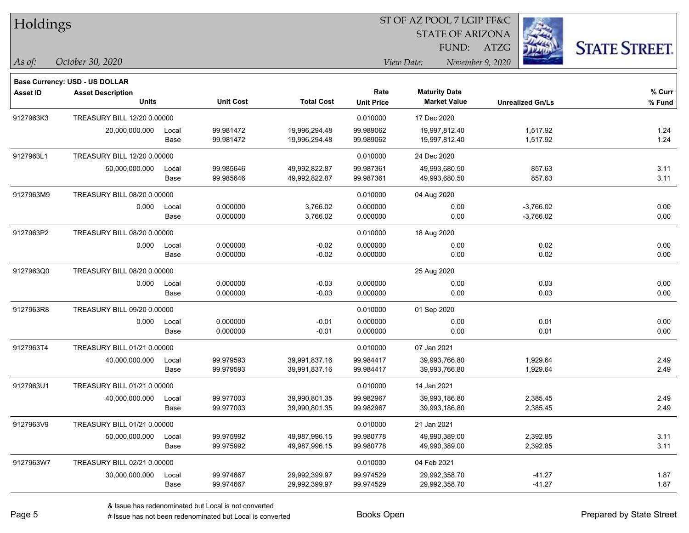| Holdings        |                                       |       |                  |                   |                         |                      |                         |                      |  |
|-----------------|---------------------------------------|-------|------------------|-------------------|-------------------------|----------------------|-------------------------|----------------------|--|
|                 |                                       |       |                  |                   | <b>STATE OF ARIZONA</b> |                      |                         |                      |  |
|                 |                                       |       |                  |                   |                         | FUND:                | ATZG                    | <b>STATE STREET.</b> |  |
| $\vert$ As of:  | October 30, 2020                      |       |                  |                   |                         | View Date:           | November 9, 2020        |                      |  |
|                 | <b>Base Currency: USD - US DOLLAR</b> |       |                  |                   |                         |                      |                         |                      |  |
| <b>Asset ID</b> | <b>Asset Description</b>              |       |                  |                   | Rate                    | <b>Maturity Date</b> |                         | % Curr               |  |
|                 | <b>Units</b>                          |       | <b>Unit Cost</b> | <b>Total Cost</b> | <b>Unit Price</b>       | <b>Market Value</b>  | <b>Unrealized Gn/Ls</b> | % Fund               |  |
| 9127963K3       | TREASURY BILL 12/20 0.00000           |       |                  |                   | 0.010000                | 17 Dec 2020          |                         |                      |  |
|                 | 20,000,000.000                        | Local | 99.981472        | 19,996,294.48     | 99.989062               | 19,997,812.40        | 1,517.92                | 1.24                 |  |
|                 |                                       | Base  | 99.981472        | 19,996,294.48     | 99.989062               | 19,997,812.40        | 1,517.92                | 1.24                 |  |
| 9127963L1       | TREASURY BILL 12/20 0.00000           |       |                  |                   | 0.010000                | 24 Dec 2020          |                         |                      |  |
|                 | 50,000,000.000                        | Local | 99.985646        | 49,992,822.87     | 99.987361               | 49,993,680.50        | 857.63                  | 3.11                 |  |
|                 |                                       | Base  | 99.985646        | 49,992,822.87     | 99.987361               | 49,993,680.50        | 857.63                  | 3.11                 |  |
| 9127963M9       | TREASURY BILL 08/20 0.00000           |       |                  |                   | 0.010000                | 04 Aug 2020          |                         |                      |  |
|                 | 0.000                                 | Local | 0.000000         | 3,766.02          | 0.000000                | 0.00                 | $-3,766.02$             | 0.00                 |  |
|                 |                                       | Base  | 0.000000         | 3,766.02          | 0.000000                | 0.00                 | $-3,766.02$             | 0.00                 |  |
| 9127963P2       | TREASURY BILL 08/20 0.00000           |       |                  |                   | 0.010000                | 18 Aug 2020          |                         |                      |  |
|                 | 0.000                                 | Local | 0.000000         | $-0.02$           | 0.000000                | 0.00                 | 0.02                    | 0.00                 |  |
|                 |                                       | Base  | 0.000000         | $-0.02$           | 0.000000                | 0.00                 | 0.02                    | 0.00                 |  |
| 9127963Q0       | TREASURY BILL 08/20 0.00000           |       |                  |                   |                         | 25 Aug 2020          |                         |                      |  |
|                 | 0.000                                 | Local | 0.000000         | $-0.03$           | 0.000000                | 0.00                 | 0.03                    | 0.00                 |  |
|                 |                                       | Base  | 0.000000         | $-0.03$           | 0.000000                | 0.00                 | 0.03                    | 0.00                 |  |
| 9127963R8       | TREASURY BILL 09/20 0.00000           |       |                  |                   | 0.010000                | 01 Sep 2020          |                         |                      |  |
|                 | 0.000                                 | Local | 0.000000         | $-0.01$           | 0.000000                | 0.00                 | 0.01                    | 0.00                 |  |
|                 |                                       | Base  | 0.000000         | $-0.01$           | 0.000000                | 0.00                 | 0.01                    | 0.00                 |  |
| 9127963T4       | TREASURY BILL 01/21 0.00000           |       |                  |                   | 0.010000                | 07 Jan 2021          |                         |                      |  |
|                 | 40,000,000.000                        | Local | 99.979593        | 39,991,837.16     | 99.984417               | 39,993,766.80        | 1,929.64                | 2.49                 |  |
|                 |                                       | Base  | 99.979593        | 39,991,837.16     | 99.984417               | 39,993,766.80        | 1,929.64                | 2.49                 |  |
| 9127963U1       | TREASURY BILL 01/21 0.00000           |       |                  |                   | 0.010000                | 14 Jan 2021          |                         |                      |  |
|                 | 40,000,000.000 Local                  |       | 99.977003        | 39,990,801.35     | 99.982967               | 39,993,186.80        | 2,385.45                | 2.49                 |  |
|                 |                                       | Base  | 99.977003        | 39,990,801.35     | 99.982967               | 39,993,186.80        | 2,385.45                | 2.49                 |  |
| 9127963V9       | TREASURY BILL 01/21 0.00000           |       |                  |                   | 0.010000                | 21 Jan 2021          |                         |                      |  |
|                 | 50,000,000.000                        | Local | 99.975992        | 49,987,996.15     | 99.980778               | 49,990,389.00        | 2,392.85                | 3.11                 |  |
|                 |                                       | Base  | 99.975992        | 49,987,996.15     | 99.980778               | 49,990,389.00        | 2,392.85                | 3.11                 |  |
| 9127963W7       | TREASURY BILL 02/21 0.00000           |       |                  |                   | 0.010000                | 04 Feb 2021          |                         |                      |  |
|                 | 30,000,000.000                        | Local | 99.974667        | 29,992,399.97     | 99.974529               | 29,992,358.70        | $-41.27$                | 1.87                 |  |
|                 |                                       | Base  | 99.974667        | 29,992,399.97     | 99.974529               | 29,992,358.70        | $-41.27$                | 1.87                 |  |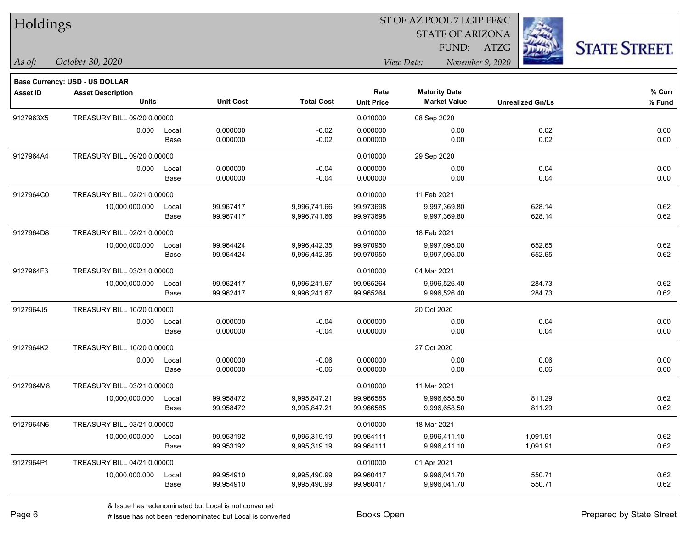| Holdings        |                                       |       |                  |                   |                   | ST OF AZ POOL 7 LGIP FF&C |                         |                      |
|-----------------|---------------------------------------|-------|------------------|-------------------|-------------------|---------------------------|-------------------------|----------------------|
|                 |                                       |       |                  |                   |                   | <b>STATE OF ARIZONA</b>   |                         |                      |
|                 |                                       |       |                  |                   |                   | FUND:                     | ATZG                    | <b>STATE STREET.</b> |
| $\vert$ As of:  | October 30, 2020                      |       |                  |                   |                   | View Date:                | November 9, 2020        |                      |
|                 | <b>Base Currency: USD - US DOLLAR</b> |       |                  |                   |                   |                           |                         |                      |
| <b>Asset ID</b> | <b>Asset Description</b>              |       |                  |                   | Rate              | <b>Maturity Date</b>      |                         | % Curr               |
|                 | <b>Units</b>                          |       | <b>Unit Cost</b> | <b>Total Cost</b> | <b>Unit Price</b> | <b>Market Value</b>       | <b>Unrealized Gn/Ls</b> | % Fund               |
| 9127963X5       | TREASURY BILL 09/20 0.00000           |       |                  |                   | 0.010000          | 08 Sep 2020               |                         |                      |
|                 | 0.000                                 | Local | 0.000000         | $-0.02$           | 0.000000          | 0.00                      | 0.02                    | 0.00                 |
|                 |                                       | Base  | 0.000000         | $-0.02$           | 0.000000          | 0.00                      | 0.02                    | 0.00                 |
| 9127964A4       | TREASURY BILL 09/20 0.00000           |       |                  |                   | 0.010000          | 29 Sep 2020               |                         |                      |
|                 | 0.000                                 | Local | 0.000000         | $-0.04$           | 0.000000          | 0.00                      | 0.04                    | 0.00                 |
|                 |                                       | Base  | 0.000000         | $-0.04$           | 0.000000          | 0.00                      | 0.04                    | 0.00                 |
| 9127964C0       | TREASURY BILL 02/21 0.00000           |       |                  |                   | 0.010000          | 11 Feb 2021               |                         |                      |
|                 | 10,000,000.000                        | Local | 99.967417        | 9,996,741.66      | 99.973698         | 9,997,369.80              | 628.14                  | 0.62                 |
|                 |                                       | Base  | 99.967417        | 9,996,741.66      | 99.973698         | 9,997,369.80              | 628.14                  | 0.62                 |
| 9127964D8       | TREASURY BILL 02/21 0.00000           |       |                  |                   | 0.010000          | 18 Feb 2021               |                         |                      |
|                 | 10,000,000.000                        | Local | 99.964424        | 9,996,442.35      | 99.970950         | 9,997,095.00              | 652.65                  | 0.62                 |
|                 |                                       | Base  | 99.964424        | 9,996,442.35      | 99.970950         | 9,997,095.00              | 652.65                  | 0.62                 |
| 9127964F3       | TREASURY BILL 03/21 0.00000           |       |                  |                   | 0.010000          | 04 Mar 2021               |                         |                      |
|                 | 10,000,000.000                        | Local | 99.962417        | 9,996,241.67      | 99.965264         | 9,996,526.40              | 284.73                  | 0.62                 |
|                 |                                       | Base  | 99.962417        | 9,996,241.67      | 99.965264         | 9,996,526.40              | 284.73                  | 0.62                 |
| 9127964J5       | TREASURY BILL 10/20 0.00000           |       |                  |                   |                   | 20 Oct 2020               |                         |                      |
|                 | 0.000                                 | Local | 0.000000         | $-0.04$           | 0.000000          | 0.00                      | 0.04                    | 0.00                 |
|                 |                                       | Base  | 0.000000         | $-0.04$           | 0.000000          | 0.00                      | 0.04                    | 0.00                 |
| 9127964K2       | TREASURY BILL 10/20 0.00000           |       |                  |                   |                   | 27 Oct 2020               |                         |                      |
|                 | 0.000                                 | Local | 0.000000         | $-0.06$           | 0.000000          | 0.00                      | 0.06                    | 0.00                 |
|                 |                                       | Base  | 0.000000         | $-0.06$           | 0.000000          | 0.00                      | 0.06                    | 0.00                 |
| 9127964M8       | TREASURY BILL 03/21 0.00000           |       |                  |                   | 0.010000          | 11 Mar 2021               |                         |                      |
|                 | 10,000,000.000                        | Local | 99.958472        | 9,995,847.21      | 99.966585         | 9,996,658.50              | 811.29                  | 0.62                 |
|                 |                                       | Base  | 99.958472        | 9,995,847.21      | 99.966585         | 9,996,658.50              | 811.29                  | 0.62                 |
| 9127964N6       | TREASURY BILL 03/21 0.00000           |       |                  |                   | 0.010000          | 18 Mar 2021               |                         |                      |
|                 | 10,000,000.000                        | Local | 99.953192        | 9,995,319.19      | 99.964111         | 9,996,411.10              | 1,091.91                | 0.62                 |
|                 |                                       | Base  | 99.953192        | 9,995,319.19      | 99.964111         | 9,996,411.10              | 1,091.91                | 0.62                 |
| 9127964P1       | TREASURY BILL 04/21 0.00000           |       |                  |                   | 0.010000          | 01 Apr 2021               |                         |                      |
|                 | 10,000,000.000                        | Local | 99.954910        | 9,995,490.99      | 99.960417         | 9,996,041.70              | 550.71                  | 0.62                 |
|                 |                                       | Base  | 99.954910        | 9,995,490.99      | 99.960417         | 9,996,041.70              | 550.71                  | 0.62                 |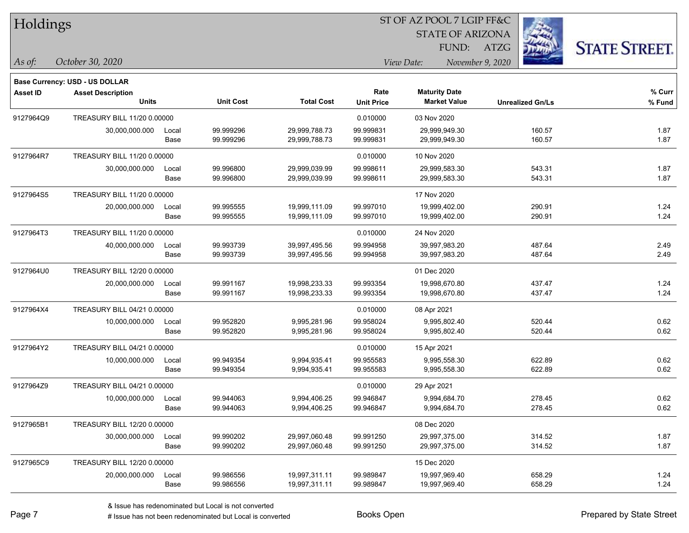| Holdings        |                                       |       |                  |                   |                   | ST OF AZ POOL 7 LGIP FF&C      |                         |                      |
|-----------------|---------------------------------------|-------|------------------|-------------------|-------------------|--------------------------------|-------------------------|----------------------|
|                 |                                       |       |                  |                   |                   | <b>STATE OF ARIZONA</b>        |                         |                      |
|                 |                                       |       |                  |                   |                   | FUND:                          | <b>ATZG</b>             | <b>STATE STREET.</b> |
| As of:          | October 30, 2020                      |       |                  |                   |                   | View Date:<br>November 9, 2020 |                         |                      |
|                 | <b>Base Currency: USD - US DOLLAR</b> |       |                  |                   |                   |                                |                         |                      |
| <b>Asset ID</b> | <b>Asset Description</b>              |       |                  |                   | Rate              | <b>Maturity Date</b>           |                         | $%$ Curr             |
|                 | <b>Units</b>                          |       | <b>Unit Cost</b> | <b>Total Cost</b> | <b>Unit Price</b> | <b>Market Value</b>            | <b>Unrealized Gn/Ls</b> | % Fund               |
| 9127964Q9       | TREASURY BILL 11/20 0.00000           |       |                  |                   | 0.010000          | 03 Nov 2020                    |                         |                      |
|                 | 30,000,000.000                        | Local | 99.999296        | 29,999,788.73     | 99.999831         | 29,999,949.30                  | 160.57                  | 1.87                 |
|                 |                                       | Base  | 99.999296        | 29,999,788.73     | 99.999831         | 29,999,949.30                  | 160.57                  | 1.87                 |
| 9127964R7       | TREASURY BILL 11/20 0.00000           |       |                  |                   | 0.010000          | 10 Nov 2020                    |                         |                      |
|                 | 30,000,000.000                        | Local | 99.996800        | 29,999,039.99     | 99.998611         | 29,999,583.30                  | 543.31                  | 1.87                 |
|                 |                                       | Base  | 99.996800        | 29,999,039.99     | 99.998611         | 29,999,583.30                  | 543.31                  | 1.87                 |
| 9127964S5       | TREASURY BILL 11/20 0.00000           |       |                  |                   |                   | 17 Nov 2020                    |                         |                      |
|                 | 20,000,000.000                        | Local | 99.995555        | 19,999,111.09     | 99.997010         | 19,999,402.00                  | 290.91                  | 1.24                 |
|                 |                                       | Base  | 99.995555        | 19,999,111.09     | 99.997010         | 19,999,402.00                  | 290.91                  | 1.24                 |
| 9127964T3       | TREASURY BILL 11/20 0.00000           |       |                  |                   | 0.010000          | 24 Nov 2020                    |                         |                      |
|                 | 40,000,000.000                        | Local | 99.993739        | 39,997,495.56     | 99.994958         | 39,997,983.20                  | 487.64                  | 2.49                 |
|                 |                                       | Base  | 99.993739        | 39,997,495.56     | 99.994958         | 39,997,983.20                  | 487.64                  | 2.49                 |
| 9127964U0       | TREASURY BILL 12/20 0.00000           |       |                  |                   |                   | 01 Dec 2020                    |                         |                      |
|                 | 20,000,000.000                        | Local | 99.991167        | 19,998,233.33     | 99.993354         | 19,998,670.80                  | 437.47                  | 1.24                 |
|                 |                                       | Base  | 99.991167        | 19,998,233.33     | 99.993354         | 19,998,670.80                  | 437.47                  | 1.24                 |
| 9127964X4       | TREASURY BILL 04/21 0.00000           |       |                  |                   | 0.010000          | 08 Apr 2021                    |                         |                      |
|                 | 10,000,000.000                        | Local | 99.952820        | 9,995,281.96      | 99.958024         | 9,995,802.40                   | 520.44                  | 0.62                 |
|                 |                                       | Base  | 99.952820        | 9,995,281.96      | 99.958024         | 9,995,802.40                   | 520.44                  | 0.62                 |
| 9127964Y2       | TREASURY BILL 04/21 0.00000           |       |                  |                   | 0.010000          | 15 Apr 2021                    |                         |                      |
|                 | 10,000,000.000                        | Local | 99.949354        | 9,994,935.41      | 99.955583         | 9,995,558.30                   | 622.89                  | 0.62                 |
|                 |                                       | Base  | 99.949354        | 9,994,935.41      | 99.955583         | 9,995,558.30                   | 622.89                  | 0.62                 |
| 9127964Z9       | TREASURY BILL 04/21 0.00000           |       |                  |                   | 0.010000          | 29 Apr 2021                    |                         |                      |
|                 | 10,000,000.000                        | Local | 99.944063        | 9,994,406.25      | 99.946847         | 9,994,684.70                   | 278.45                  | 0.62                 |
|                 |                                       | Base  | 99.944063        | 9,994,406.25      | 99.946847         | 9,994,684.70                   | 278.45                  | 0.62                 |
| 9127965B1       | TREASURY BILL 12/20 0.00000           |       |                  |                   |                   | 08 Dec 2020                    |                         |                      |
|                 | 30,000,000.000                        | Local | 99.990202        | 29,997,060.48     | 99.991250         | 29,997,375.00                  | 314.52                  | 1.87                 |
|                 |                                       | Base  | 99.990202        | 29,997,060.48     | 99.991250         | 29,997,375.00                  | 314.52                  | 1.87                 |
| 9127965C9       | TREASURY BILL 12/20 0.00000           |       |                  |                   |                   | 15 Dec 2020                    |                         |                      |
|                 | 20,000,000.000                        | Local | 99.986556        | 19,997,311.11     | 99.989847         | 19,997,969.40                  | 658.29                  | 1.24                 |
|                 |                                       | Base  | 99.986556        | 19,997,311.11     | 99.989847         | 19,997,969.40                  | 658.29                  | 1.24                 |

 $\overline{\phantom{0}}$ 

 $\overline{\phantom{a}}$ 

 $\overline{\phantom{a}}$ 

 $\overline{\phantom{a}}$ 

 $\overline{\phantom{a}}$ 

 $\overline{\phantom{0}}$ 

 $\overline{a}$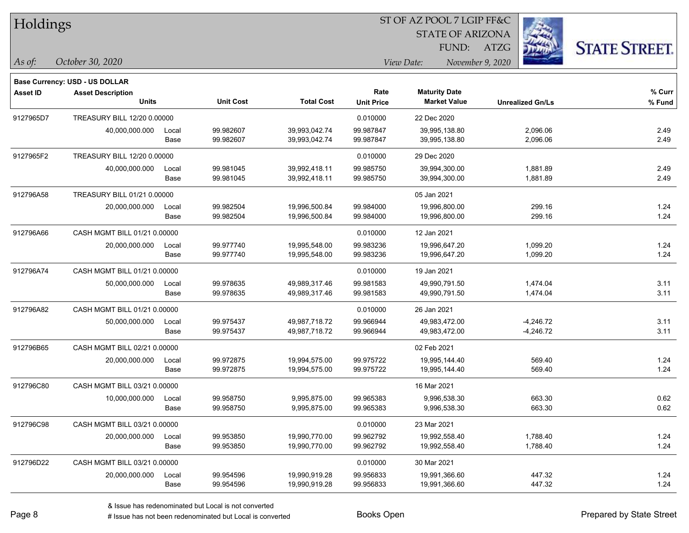| Holdings        |                                          |               |                        |                                |                           | ST OF AZ POOL 7 LGIP FF&C                   |                         |                      |
|-----------------|------------------------------------------|---------------|------------------------|--------------------------------|---------------------------|---------------------------------------------|-------------------------|----------------------|
|                 |                                          |               |                        |                                |                           | <b>STATE OF ARIZONA</b>                     |                         |                      |
|                 |                                          |               |                        |                                |                           | FUND:                                       | ATZG                    | <b>STATE STREET.</b> |
| As of:          | October 30, 2020                         |               |                        |                                |                           | View Date:<br>November 9, 2020              |                         |                      |
|                 |                                          |               |                        |                                |                           |                                             |                         |                      |
|                 | Base Currency: USD - US DOLLAR           |               |                        |                                |                           |                                             |                         |                      |
| <b>Asset ID</b> | <b>Asset Description</b><br><b>Units</b> |               | <b>Unit Cost</b>       | <b>Total Cost</b>              | Rate<br><b>Unit Price</b> | <b>Maturity Date</b><br><b>Market Value</b> | <b>Unrealized Gn/Ls</b> | % Curr<br>% Fund     |
|                 |                                          |               |                        |                                |                           |                                             |                         |                      |
| 9127965D7       | TREASURY BILL 12/20 0.00000              |               |                        |                                | 0.010000                  | 22 Dec 2020                                 |                         |                      |
|                 | 40,000,000.000                           | Local<br>Base | 99.982607<br>99.982607 | 39,993,042.74<br>39,993,042.74 | 99.987847<br>99.987847    | 39,995,138.80<br>39,995,138.80              | 2,096.06<br>2,096.06    | 2.49<br>2.49         |
|                 |                                          |               |                        |                                |                           |                                             |                         |                      |
| 9127965F2       | TREASURY BILL 12/20 0.00000              |               |                        |                                | 0.010000                  | 29 Dec 2020                                 |                         |                      |
|                 | 40,000,000.000                           | Local<br>Base | 99.981045<br>99.981045 | 39,992,418.11<br>39,992,418.11 | 99.985750<br>99.985750    | 39,994,300.00<br>39,994,300.00              | 1,881.89<br>1,881.89    | 2.49<br>2.49         |
|                 |                                          |               |                        |                                |                           |                                             |                         |                      |
| 912796A58       | TREASURY BILL 01/21 0.00000              |               |                        |                                |                           | 05 Jan 2021                                 |                         |                      |
|                 | 20,000,000.000                           | Local<br>Base | 99.982504<br>99.982504 | 19,996,500.84<br>19,996,500.84 | 99.984000<br>99.984000    | 19,996,800.00<br>19,996,800.00              | 299.16<br>299.16        | 1.24<br>1.24         |
|                 |                                          |               |                        |                                |                           |                                             |                         |                      |
| 912796A66       | CASH MGMT BILL 01/21 0.00000             |               |                        |                                | 0.010000                  | 12 Jan 2021                                 |                         |                      |
|                 | 20,000,000.000                           | Local<br>Base | 99.977740<br>99.977740 | 19,995,548.00<br>19,995,548.00 | 99.983236<br>99.983236    | 19,996,647.20<br>19,996,647.20              | 1,099.20<br>1,099.20    | 1.24<br>1.24         |
|                 |                                          |               |                        |                                |                           |                                             |                         |                      |
| 912796A74       | CASH MGMT BILL 01/21 0.00000             |               |                        |                                | 0.010000                  | 19 Jan 2021                                 |                         |                      |
|                 | 50,000,000.000                           | Local<br>Base | 99.978635<br>99.978635 | 49,989,317.46<br>49,989,317.46 | 99.981583<br>99.981583    | 49,990,791.50<br>49,990,791.50              | 1,474.04<br>1,474.04    | 3.11<br>3.11         |
|                 |                                          |               |                        |                                |                           |                                             |                         |                      |
| 912796A82       | CASH MGMT BILL 01/21 0.00000             |               |                        |                                | 0.010000                  | 26 Jan 2021                                 |                         |                      |
|                 | 50,000,000.000                           | Local         | 99.975437<br>99.975437 | 49,987,718.72                  | 99.966944                 | 49,983,472.00                               | $-4,246.72$             | 3.11<br>3.11         |
|                 |                                          | Base          |                        | 49,987,718.72                  | 99.966944                 | 49,983,472.00                               | $-4,246.72$             |                      |
| 912796B65       | CASH MGMT BILL 02/21 0.00000             |               |                        |                                |                           | 02 Feb 2021                                 |                         |                      |
|                 | 20,000,000.000                           | Local         | 99.972875              | 19,994,575.00                  | 99.975722                 | 19,995,144.40                               | 569.40                  | 1.24                 |
|                 |                                          | Base          | 99.972875              | 19,994,575.00                  | 99.975722                 | 19,995,144.40                               | 569.40                  | 1.24                 |
| 912796C80       | CASH MGMT BILL 03/21 0.00000             |               |                        |                                |                           | 16 Mar 2021                                 |                         |                      |
|                 | 10,000,000.000                           | Local         | 99.958750              | 9,995,875.00                   | 99.965383                 | 9,996,538.30                                | 663.30                  | 0.62                 |
|                 |                                          | Base          | 99.958750              | 9,995,875.00                   | 99.965383                 | 9,996,538.30                                | 663.30                  | 0.62                 |
| 912796C98       | CASH MGMT BILL 03/21 0.00000             |               |                        |                                | 0.010000                  | 23 Mar 2021                                 |                         |                      |
|                 | 20,000,000.000                           | Local         | 99.953850              | 19,990,770.00                  | 99.962792                 | 19,992,558.40                               | 1,788.40                | 1.24                 |
|                 |                                          | Base          | 99.953850              | 19,990,770.00                  | 99.962792                 | 19,992,558.40                               | 1,788.40                | 1.24                 |
| 912796D22       | CASH MGMT BILL 03/21 0.00000             |               |                        |                                | 0.010000                  | 30 Mar 2021                                 |                         |                      |
|                 | 20,000,000.000                           | Local         | 99.954596              | 19,990,919.28                  | 99.956833                 | 19,991,366.60                               | 447.32                  | 1.24                 |
|                 |                                          | Base          | 99.954596              | 19,990,919.28                  | 99.956833                 | 19,991,366.60                               | 447.32                  | 1.24                 |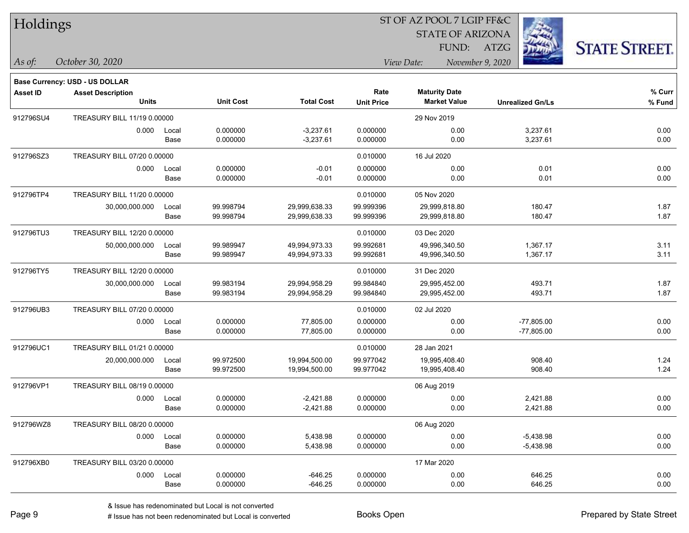| Holdings |
|----------|
|          |

#### ST OF AZ POOL 7 LGIP FF&C

STATE OF ARIZONA

FUND: ATZG



*As of: View Date: November 9, 2020*

|  | As of: | October 30, 2020 |  |
|--|--------|------------------|--|
|--|--------|------------------|--|

|                 | Base Currency: USD - US DOLLAR |                             |                  |                   |                   |                      |                         |        |
|-----------------|--------------------------------|-----------------------------|------------------|-------------------|-------------------|----------------------|-------------------------|--------|
| <b>Asset ID</b> | <b>Asset Description</b>       |                             |                  |                   | Rate              | <b>Maturity Date</b> |                         | % Curr |
|                 | <b>Units</b>                   |                             | <b>Unit Cost</b> | <b>Total Cost</b> | <b>Unit Price</b> | <b>Market Value</b>  | <b>Unrealized Gn/Ls</b> | % Fund |
| 912796SU4       |                                | TREASURY BILL 11/19 0.00000 |                  |                   |                   | 29 Nov 2019          |                         |        |
|                 | 0.000                          | Local                       | 0.000000         | $-3,237.61$       | 0.000000          | 0.00                 | 3,237.61                | 0.00   |
|                 |                                | Base                        | 0.000000         | $-3,237.61$       | 0.000000          | 0.00                 | 3,237.61                | 0.00   |
| 912796SZ3       | TREASURY BILL 07/20 0.00000    |                             |                  |                   | 0.010000          | 16 Jul 2020          |                         |        |
|                 | 0.000                          | Local                       | 0.000000         | $-0.01$           | 0.000000          | 0.00                 | 0.01                    | 0.00   |
|                 |                                | Base                        | 0.000000         | $-0.01$           | 0.000000          | 0.00                 | 0.01                    | 0.00   |
| 912796TP4       | TREASURY BILL 11/20 0.00000    |                             |                  |                   | 0.010000          | 05 Nov 2020          |                         |        |
|                 | 30,000,000.000                 | Local                       | 99.998794        | 29,999,638.33     | 99.999396         | 29,999,818.80        | 180.47                  | 1.87   |
|                 |                                | Base                        | 99.998794        | 29,999,638.33     | 99.999396         | 29,999,818.80        | 180.47                  | 1.87   |
| 912796TU3       | TREASURY BILL 12/20 0.00000    |                             |                  |                   | 0.010000          | 03 Dec 2020          |                         |        |
|                 | 50,000,000.000                 | Local                       | 99.989947        | 49,994,973.33     | 99.992681         | 49,996,340.50        | 1,367.17                | 3.11   |
|                 |                                | Base                        | 99.989947        | 49,994,973.33     | 99.992681         | 49,996,340.50        | 1,367.17                | 3.11   |
| 912796TY5       | TREASURY BILL 12/20 0.00000    |                             |                  |                   | 0.010000          | 31 Dec 2020          |                         |        |
|                 | 30,000,000.000                 | Local                       | 99.983194        | 29,994,958.29     | 99.984840         | 29,995,452.00        | 493.71                  | 1.87   |
|                 |                                | Base                        | 99.983194        | 29,994,958.29     | 99.984840         | 29,995,452.00        | 493.71                  | 1.87   |
| 912796UB3       | TREASURY BILL 07/20 0.00000    |                             |                  |                   | 0.010000          | 02 Jul 2020          |                         |        |
|                 | 0.000                          | Local                       | 0.000000         | 77,805.00         | 0.000000          | 0.00                 | $-77,805.00$            | 0.00   |
|                 |                                | Base                        | 0.000000         | 77,805.00         | 0.000000          | 0.00                 | $-77,805.00$            | 0.00   |
| 912796UC1       | TREASURY BILL 01/21 0.00000    |                             |                  |                   | 0.010000          | 28 Jan 2021          |                         |        |
|                 | 20,000,000.000                 | Local                       | 99.972500        | 19,994,500.00     | 99.977042         | 19,995,408.40        | 908.40                  | 1.24   |
|                 |                                | Base                        | 99.972500        | 19,994,500.00     | 99.977042         | 19,995,408.40        | 908.40                  | 1.24   |
| 912796VP1       | TREASURY BILL 08/19 0.00000    |                             |                  |                   |                   | 06 Aug 2019          |                         |        |
|                 | 0.000                          | Local                       | 0.000000         | $-2,421.88$       | 0.000000          | 0.00                 | 2,421.88                | 0.00   |
|                 |                                | Base                        | 0.000000         | $-2,421.88$       | 0.000000          | 0.00                 | 2,421.88                | 0.00   |
| 912796WZ8       | TREASURY BILL 08/20 0.00000    |                             |                  |                   |                   | 06 Aug 2020          |                         |        |
|                 | 0.000                          | Local                       | 0.000000         | 5,438.98          | 0.000000          | 0.00                 | $-5,438.98$             | 0.00   |
|                 |                                | Base                        | 0.000000         | 5,438.98          | 0.000000          | 0.00                 | $-5,438.98$             | 0.00   |
| 912796XB0       | TREASURY BILL 03/20 0.00000    |                             |                  |                   |                   | 17 Mar 2020          |                         |        |
|                 | 0.000                          | Local                       | 0.000000         | -646.25           | 0.000000          | 0.00                 | 646.25                  | 0.00   |
|                 |                                | Base                        | 0.000000         | -646.25           | 0.000000          | 0.00                 | 646.25                  | 0.00   |
|                 |                                |                             |                  |                   |                   |                      |                         |        |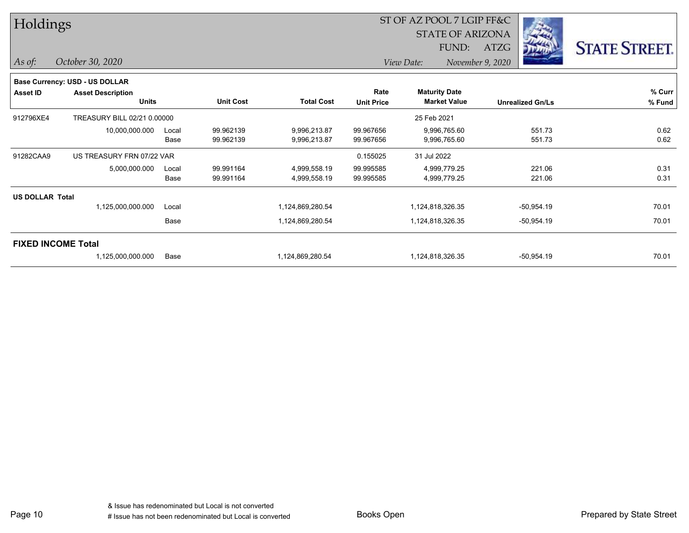| Holdings               |                                          |       |                  |                   |                           | ST OF AZ POOL 7 LGIP FF&C                   |                         |                      |
|------------------------|------------------------------------------|-------|------------------|-------------------|---------------------------|---------------------------------------------|-------------------------|----------------------|
|                        |                                          |       |                  |                   |                           | <b>STATE OF ARIZONA</b>                     |                         |                      |
|                        |                                          |       |                  |                   |                           | FUND:                                       | <b>ATZG</b>             | <b>STATE STREET.</b> |
| As of:                 | October 30, 2020                         |       |                  |                   |                           | View Date:<br>November 9, 2020              |                         |                      |
|                        | Base Currency: USD - US DOLLAR           |       |                  |                   |                           |                                             |                         |                      |
| Asset ID               | <b>Asset Description</b><br><b>Units</b> |       | <b>Unit Cost</b> | <b>Total Cost</b> | Rate<br><b>Unit Price</b> | <b>Maturity Date</b><br><b>Market Value</b> | <b>Unrealized Gn/Ls</b> | % Curr<br>% Fund     |
| 912796XE4              | TREASURY BILL 02/21 0.00000              |       |                  |                   |                           | 25 Feb 2021                                 |                         |                      |
|                        | 10,000,000.000                           | Local | 99.962139        | 9,996,213.87      | 99.967656                 | 9,996,765.60                                | 551.73                  | 0.62                 |
|                        |                                          | Base  | 99.962139        | 9,996,213.87      | 99.967656                 | 9,996,765.60                                | 551.73                  | 0.62                 |
| 91282CAA9              | US TREASURY FRN 07/22 VAR                |       |                  |                   | 0.155025                  | 31 Jul 2022                                 |                         |                      |
|                        | 5,000,000.000                            | Local | 99.991164        | 4,999,558.19      | 99.995585                 | 4,999,779.25                                | 221.06                  | 0.31                 |
|                        |                                          | Base  | 99.991164        | 4,999,558.19      | 99.995585                 | 4,999,779.25                                | 221.06                  | 0.31                 |
| <b>US DOLLAR Total</b> |                                          |       |                  |                   |                           |                                             |                         |                      |
|                        | 1,125,000,000.000                        | Local |                  | 1,124,869,280.54  |                           | 1,124,818,326.35                            | $-50,954.19$            | 70.01                |
|                        |                                          | Base  |                  | 1,124,869,280.54  |                           | 1,124,818,326.35                            | -50,954.19              | 70.01                |
|                        | <b>FIXED INCOME Total</b>                |       |                  |                   |                           |                                             |                         |                      |
|                        | 1,125,000,000.000                        | Base  |                  | 1,124,869,280.54  |                           | 1,124,818,326.35                            | $-50,954.19$            | 70.01                |

Page 10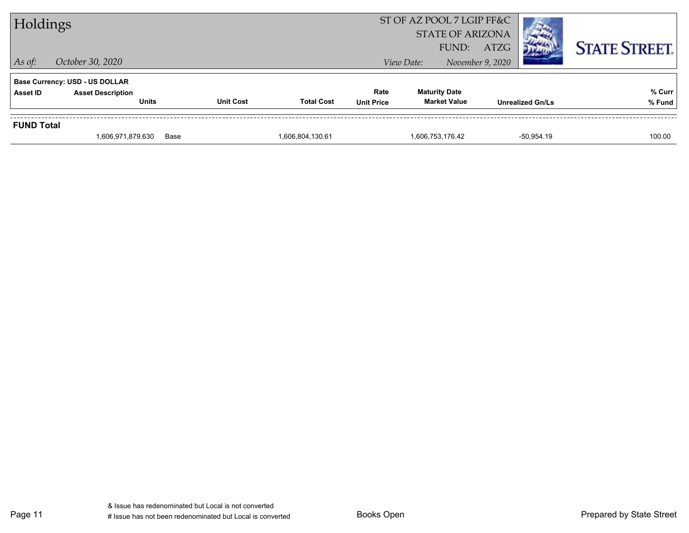| FUND:<br>ATZG<br>$\vert$ As of:<br>October 30, 2020<br>November 9, 2020<br>View Date:<br><b>Base Currency: USD - US DOLLAR</b><br><b>Maturity Date</b><br>Rate<br><b>Asset Description</b><br><b>Asset ID</b><br><b>Total Cost</b><br><b>Unit Cost</b><br><b>Market Value</b><br><b>Units</b><br><b>Unit Price</b><br><b>Unrealized Gn/Ls</b> |                   | 1,606,971,879.630 | Base | 1,606,804,130.61 |                           | 1,606,753,176.42 |  | -50.954.19 | 100.00               |
|-----------------------------------------------------------------------------------------------------------------------------------------------------------------------------------------------------------------------------------------------------------------------------------------------------------------------------------------------|-------------------|-------------------|------|------------------|---------------------------|------------------|--|------------|----------------------|
|                                                                                                                                                                                                                                                                                                                                               | <b>FUND Total</b> |                   |      |                  |                           |                  |  |            |                      |
|                                                                                                                                                                                                                                                                                                                                               |                   |                   |      |                  |                           |                  |  |            | % Curr<br>% Fund     |
|                                                                                                                                                                                                                                                                                                                                               |                   |                   |      |                  |                           |                  |  |            |                      |
| Holdings<br><b>STATE OF ARIZONA</b>                                                                                                                                                                                                                                                                                                           |                   |                   |      |                  | ST OF AZ POOL 7 LGIP FF&C |                  |  |            | <b>STATE STREET.</b> |

Page 11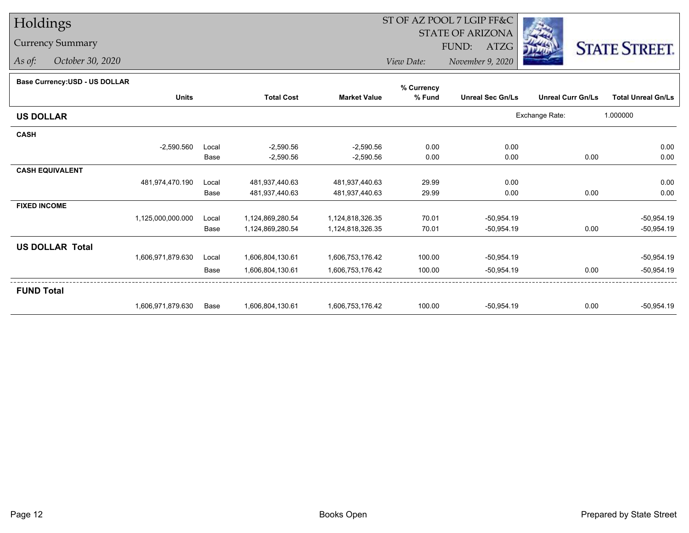# Holdings

### Currency Summary

*As of: October 30, 2020*

## ST OF AZ POOL 7 LGIP FF&C

STATE OF ARIZONA

FUND: ATZG



*View Date:November 9, 2020*

#### **Base Currency:USD - US DOLLAR**

|                        |                   |       |                   |                     | % Currency |                         |                          |                           |
|------------------------|-------------------|-------|-------------------|---------------------|------------|-------------------------|--------------------------|---------------------------|
|                        | <b>Units</b>      |       | <b>Total Cost</b> | <b>Market Value</b> | % Fund     | <b>Unreal Sec Gn/Ls</b> | <b>Unreal Curr Gn/Ls</b> | <b>Total Unreal Gn/Ls</b> |
| <b>US DOLLAR</b>       |                   |       |                   |                     |            |                         | Exchange Rate:           | 1.000000                  |
| <b>CASH</b>            |                   |       |                   |                     |            |                         |                          |                           |
|                        | $-2,590.560$      | Local | $-2,590.56$       | $-2,590.56$         | 0.00       | 0.00                    |                          | 0.00                      |
|                        |                   | Base  | $-2,590.56$       | $-2,590.56$         | 0.00       | 0.00                    | 0.00                     | 0.00                      |
| <b>CASH EQUIVALENT</b> |                   |       |                   |                     |            |                         |                          |                           |
|                        | 481,974,470.190   | Local | 481,937,440.63    | 481,937,440.63      | 29.99      | 0.00                    |                          | 0.00                      |
|                        |                   | Base  | 481,937,440.63    | 481,937,440.63      | 29.99      | 0.00                    | 0.00                     | 0.00                      |
| <b>FIXED INCOME</b>    |                   |       |                   |                     |            |                         |                          |                           |
|                        | 1,125,000,000.000 | Local | 1,124,869,280.54  | 1,124,818,326.35    | 70.01      | $-50,954.19$            |                          | -50,954.19                |
|                        |                   | Base  | 1,124,869,280.54  | 1,124,818,326.35    | 70.01      | $-50,954.19$            | 0.00                     | $-50,954.19$              |
| <b>US DOLLAR Total</b> |                   |       |                   |                     |            |                         |                          |                           |
|                        | 1,606,971,879.630 | Local | 1,606,804,130.61  | 1,606,753,176.42    | 100.00     | $-50,954.19$            |                          | $-50,954.19$              |
|                        |                   | Base  | 1,606,804,130.61  | 1,606,753,176.42    | 100.00     | $-50,954.19$            | 0.00                     | $-50,954.19$              |
| <b>FUND Total</b>      |                   |       |                   |                     |            |                         |                          |                           |
|                        | 1,606,971,879.630 | Base  | 1,606,804,130.61  | 1,606,753,176.42    | 100.00     | $-50,954.19$            | 0.00                     | $-50,954.19$              |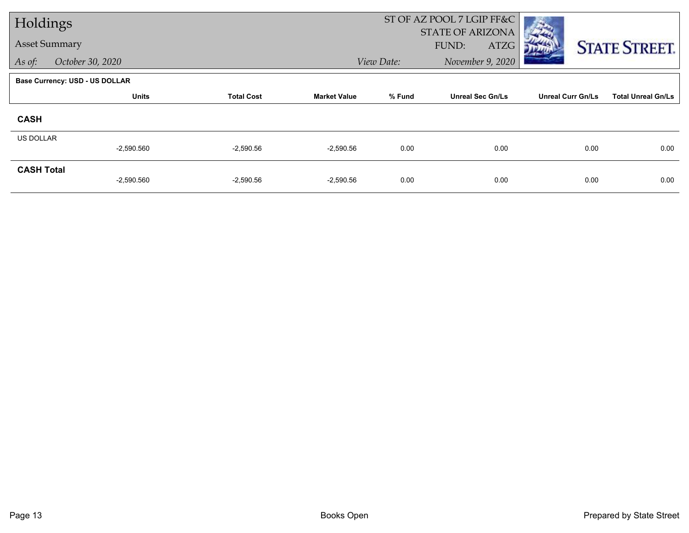|                      | Holdings                       |                   |                     |            | ST OF AZ POOL 7 LGIP FF&C |                          |                           |
|----------------------|--------------------------------|-------------------|---------------------|------------|---------------------------|--------------------------|---------------------------|
| <b>Asset Summary</b> |                                |                   |                     |            | <b>STATE OF ARIZONA</b>   |                          |                           |
|                      |                                |                   |                     |            | ATZG<br>FUND:             |                          | <b>STATE STREET.</b>      |
| As of:               | October 30, 2020               |                   |                     | View Date: | November 9, 2020          |                          |                           |
|                      | Base Currency: USD - US DOLLAR |                   |                     |            |                           |                          |                           |
|                      | <b>Units</b>                   | <b>Total Cost</b> | <b>Market Value</b> | % Fund     | <b>Unreal Sec Gn/Ls</b>   | <b>Unreal Curr Gn/Ls</b> | <b>Total Unreal Gn/Ls</b> |
| <b>CASH</b>          |                                |                   |                     |            |                           |                          |                           |
| US DOLLAR            |                                |                   |                     |            |                           |                          |                           |
|                      | $-2,590.560$                   | $-2,590.56$       | $-2,590.56$         | 0.00       | 0.00                      | 0.00                     | 0.00                      |
| <b>CASH Total</b>    |                                |                   |                     |            |                           |                          |                           |
|                      | $-2,590.560$                   | $-2,590.56$       | $-2,590.56$         | 0.00       | 0.00                      | 0.00                     | 0.00                      |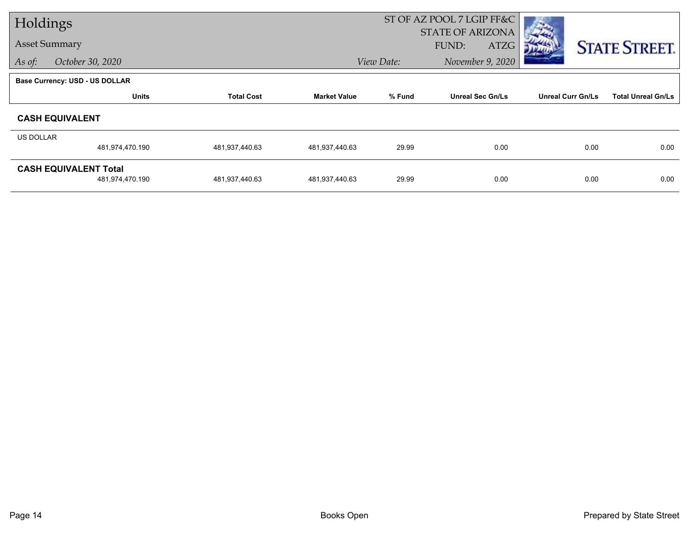|           | Holdings                                        |                   |                     | ST OF AZ POOL 7 LGIP FF&C |                                          |                          |                           |
|-----------|-------------------------------------------------|-------------------|---------------------|---------------------------|------------------------------------------|--------------------------|---------------------------|
|           | <b>Asset Summary</b>                            |                   |                     |                           | <b>STATE OF ARIZONA</b><br>FUND:<br>ATZG |                          | <b>STATE STREET.</b>      |
| As of:    | October 30, 2020                                |                   |                     | View Date:                | November 9, 2020                         |                          |                           |
|           | <b>Base Currency: USD - US DOLLAR</b>           |                   |                     |                           |                                          |                          |                           |
|           | <b>Units</b>                                    | <b>Total Cost</b> | <b>Market Value</b> | % Fund                    | <b>Unreal Sec Gn/Ls</b>                  | <b>Unreal Curr Gn/Ls</b> | <b>Total Unreal Gn/Ls</b> |
|           | <b>CASH EQUIVALENT</b>                          |                   |                     |                           |                                          |                          |                           |
| US DOLLAR |                                                 |                   |                     |                           |                                          |                          |                           |
|           | 481,974,470.190                                 | 481,937,440.63    | 481,937,440.63      | 29.99                     | 0.00                                     | 0.00                     | 0.00                      |
|           | <b>CASH EQUIVALENT Total</b><br>481,974,470.190 | 481,937,440.63    | 481,937,440.63      | 29.99                     | 0.00                                     | 0.00                     | 0.00                      |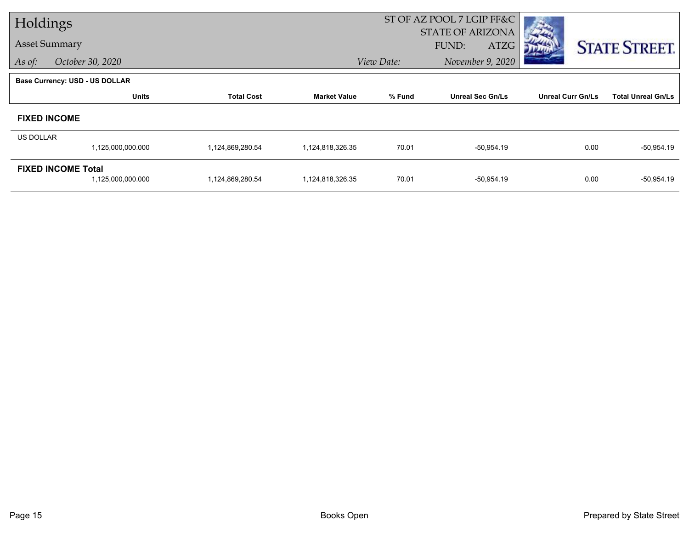|                  | Holdings                              |                   |                     | ST OF AZ POOL 7 LGIP FF&C |                         |                          |                           |
|------------------|---------------------------------------|-------------------|---------------------|---------------------------|-------------------------|--------------------------|---------------------------|
|                  |                                       |                   |                     |                           | <b>STATE OF ARIZONA</b> |                          |                           |
|                  | <b>Asset Summary</b>                  |                   |                     |                           | ATZG<br>FUND:           |                          | <b>STATE STREET.</b>      |
| As of:           | October 30, 2020                      |                   |                     | View Date:                | November 9, 2020        |                          |                           |
|                  | <b>Base Currency: USD - US DOLLAR</b> |                   |                     |                           |                         |                          |                           |
|                  | <b>Units</b>                          | <b>Total Cost</b> | <b>Market Value</b> | % Fund                    | <b>Unreal Sec Gn/Ls</b> | <b>Unreal Curr Gn/Ls</b> | <b>Total Unreal Gn/Ls</b> |
|                  | <b>FIXED INCOME</b>                   |                   |                     |                           |                         |                          |                           |
| <b>US DOLLAR</b> |                                       |                   |                     |                           |                         |                          |                           |
|                  | 1,125,000,000.000                     | 1,124,869,280.54  | 1,124,818,326.35    | 70.01                     | $-50,954.19$            | 0.00                     | $-50,954.19$              |
|                  | <b>FIXED INCOME Total</b>             |                   |                     |                           |                         |                          |                           |
|                  | 1,125,000,000.000                     | 1,124,869,280.54  | 1,124,818,326.35    | 70.01                     | $-50,954.19$            | 0.00                     | $-50,954.19$              |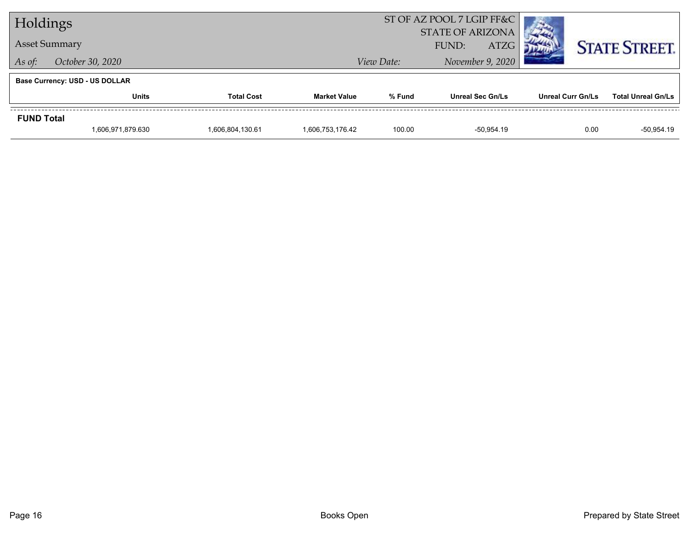| Holdings                   |                                       |                  |                     | ST OF AZ POOL 7 LGIP FF&C |                         |  |                          |                           |
|----------------------------|---------------------------------------|------------------|---------------------|---------------------------|-------------------------|--|--------------------------|---------------------------|
|                            |                                       |                  |                     |                           | <b>STATE OF ARIZONA</b> |  |                          |                           |
|                            | <b>Asset Summary</b>                  |                  |                     | <b>ATZG</b><br>FUND:      |                         |  |                          | <b>STATE STREET.</b>      |
| October 30, 2020<br>As of: |                                       |                  |                     | View Date:                | November 9, 2020        |  |                          |                           |
|                            | <b>Base Currency: USD - US DOLLAR</b> |                  |                     |                           |                         |  |                          |                           |
|                            | <b>Total Cost</b><br>Units            |                  | <b>Market Value</b> | % Fund                    | <b>Unreal Sec Gn/Ls</b> |  | <b>Unreal Curr Gn/Ls</b> | <b>Total Unreal Gn/Ls</b> |
| <b>FUND Total</b>          |                                       |                  |                     |                           |                         |  |                          |                           |
|                            | 1,606,971,879.630                     | 1,606,804,130.61 | 1,606,753,176.42    | 100.00                    | -50.954.19              |  | 0.00                     | $-50,954.19$              |